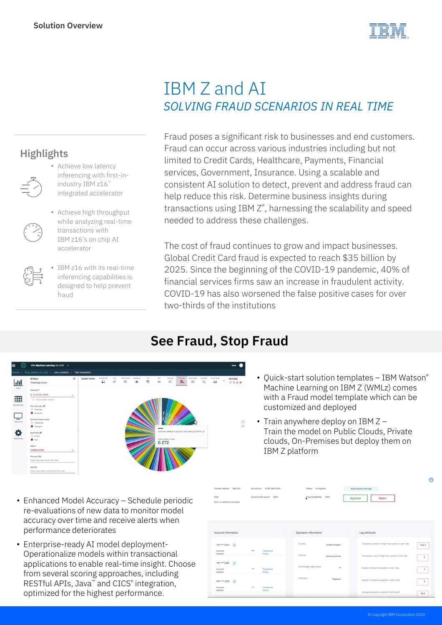**Highlights**



## IBM Z and AI *SOLVING FRAUD SCENARIOS IN REAL TIME*

Fraud poses a significant risk to businesses and end customers. Fraud can occur across various industries including but not limited to Credit Cards, Healthcare, Payments, Financial services, Government, Insurance. Using a scalable and consistent AI solution to detect, prevent and address fraud can help reduce this risk. Determine business insights during transactions using IBM Z®, harnessing the scalability and speed needed to address these challenges.

The cost of fraud continues to grow and impact businesses. Global Credit Card fraud is expected to reach \$35 billion by 2025. Since the beginning of the COVID-19 pandemic, 40% of financial services firms saw an increase in fraudulent activity. COVID-19 has also worsened the false positive cases for over two-thirds of the institutions

## **See Fraud, Stop Fraud**



- Enhanced Model Accuracy Schedule periodic re-evaluations of new data to monitor model accuracy over time and receive alerts when performance deteriorates
- Enterprise-ready AI model deployment-Operationalize models within transactional applications to enable real-time insight. Choose from several scoring approaches, including RESTful APIs, Java™ and CICS® integration, optimized for the highest performance.
- Quick-start solution templates IBM Watson® Machine Learning on IBM Z (WMLz) comes with a Fraud model template which can be customized and deployed
- Train anywhere deploy on IBM Z Train the model on Public Clouds, Private clouds, On-Premises but deploy them on IBM Z platform

|                                         |                           | Status In progress       |                        |         | Apeal request sent ago                                |                                                      |
|-----------------------------------------|---------------------------|--------------------------|------------------------|---------|-------------------------------------------------------|------------------------------------------------------|
| Date:<br>2018-10-08T08:52:02.593Z       | Account total acount 2900 | Fraud probability        | 100%                   | Approve | Reject                                                |                                                      |
| Account Information                     |                           | Operation information    |                        |         | Lag attributes                                        |                                                      |
| <b>YO</b><br>100 **** 2222              |                           | Country                  | United Kingdom         |         | Transaction amount in high risk country in last 1 day | 1284.3                                               |
| <br>Account<br>balance                  | Transaction<br>history    | Channel                  | <b>Business Online</b> |         | Transaction count in high risk country in last 1 day  | <b>STATISTICS</b><br>5<br><b>ASSAULTS</b>            |
| 100 **** 2222<br><br>Account<br>balance | Transaction<br>history    | Interchange organization | $V^*$                  |         | Number of failed transaction in last 1 day            | <b>COLORADO DE LA CALIFICACIÓN</b><br>$\overline{z}$ |
| 000 **** 2222<br>`di                    |                           | Card type                | Magnetic               |         | Number of failed transaction in last month            | 3<br>                                                |
| $\cdots$<br>Account<br>balance          | Transaction<br>history    |                          |                        |         | Average transaction amount in last month              | 90.6                                                 |

- Achieve high throughput
- while analyzing real-time transactions with IBM z16's on chip AI accelerator

• Achieve low latency inferencing with first-inindustry IBM z16™ integrated accelerator

IBM z16 with its real-time inferencing capabilities is designed to help prevent fraud

 $\bullet$